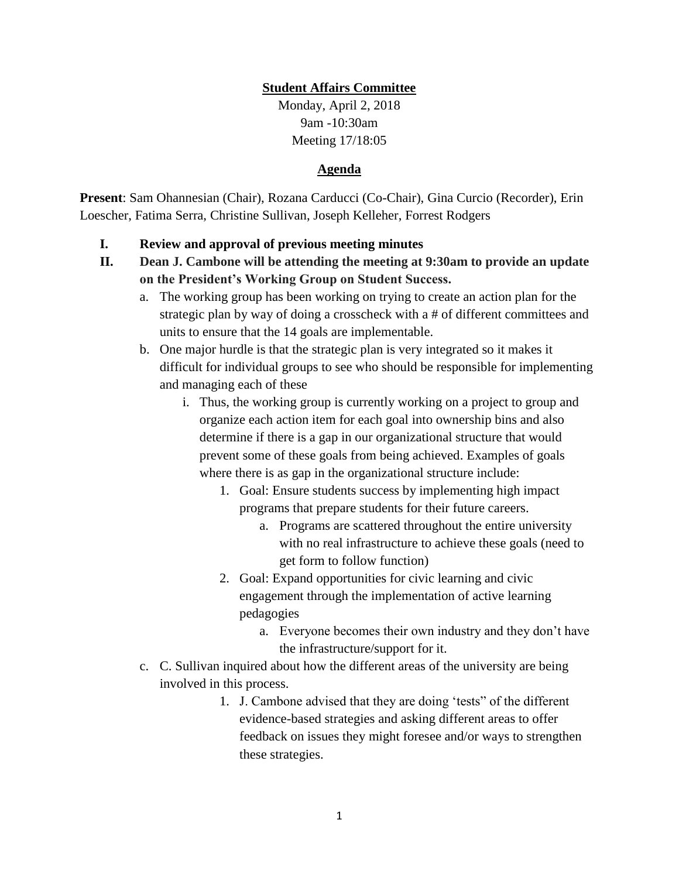## **Student Affairs Committee**

Monday, April 2, 2018 9am -10:30am Meeting 17/18:05

## **Agenda**

**Present**: Sam Ohannesian (Chair), Rozana Carducci (Co-Chair), Gina Curcio (Recorder), Erin Loescher, Fatima Serra, Christine Sullivan, Joseph Kelleher, Forrest Rodgers

## **I. Review and approval of previous meeting minutes**

- **II. Dean J. Cambone will be attending the meeting at 9:30am to provide an update on the President's Working Group on Student Success.** 
	- a. The working group has been working on trying to create an action plan for the strategic plan by way of doing a crosscheck with a # of different committees and units to ensure that the 14 goals are implementable.
	- b. One major hurdle is that the strategic plan is very integrated so it makes it difficult for individual groups to see who should be responsible for implementing and managing each of these
		- i. Thus, the working group is currently working on a project to group and organize each action item for each goal into ownership bins and also determine if there is a gap in our organizational structure that would prevent some of these goals from being achieved. Examples of goals where there is as gap in the organizational structure include:
			- 1. Goal: Ensure students success by implementing high impact programs that prepare students for their future careers.
				- a. Programs are scattered throughout the entire university with no real infrastructure to achieve these goals (need to get form to follow function)
			- 2. Goal: Expand opportunities for civic learning and civic engagement through the implementation of active learning pedagogies
				- a. Everyone becomes their own industry and they don't have the infrastructure/support for it.
	- c. C. Sullivan inquired about how the different areas of the university are being involved in this process.
		- 1. J. Cambone advised that they are doing 'tests" of the different evidence-based strategies and asking different areas to offer feedback on issues they might foresee and/or ways to strengthen these strategies.